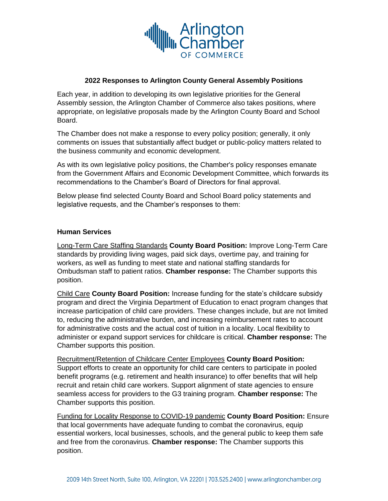

### **2022 Responses to Arlington County General Assembly Positions**

Each year, in addition to developing its own legislative priorities for the General Assembly session, the Arlington Chamber of Commerce also takes positions, where appropriate, on legislative proposals made by the Arlington County Board and School Board.

The Chamber does not make a response to every policy position; generally, it only comments on issues that substantially affect budget or public-policy matters related to the business community and economic development.

As with its own legislative policy positions, the Chamber's policy responses emanate from the Government Affairs and Economic Development Committee, which forwards its recommendations to the Chamber's Board of Directors for final approval.

Below please find selected County Board and School Board policy statements and legislative requests, and the Chamber's responses to them:

### **Human Services**

Long-Term Care Staffing Standards **County Board Position:** Improve Long-Term Care standards by providing living wages, paid sick days, overtime pay, and training for workers, as well as funding to meet state and national staffing standards for Ombudsman staff to patient ratios. **Chamber response:** The Chamber supports this position.

Child Care **County Board Position:** Increase funding for the state's childcare subsidy program and direct the Virginia Department of Education to enact program changes that increase participation of child care providers. These changes include, but are not limited to, reducing the administrative burden, and increasing reimbursement rates to account for administrative costs and the actual cost of tuition in a locality. Local flexibility to administer or expand support services for childcare is critical. **Chamber response:** The Chamber supports this position.

Recruitment/Retention of Childcare Center Employees **County Board Position:** Support efforts to create an opportunity for child care centers to participate in pooled benefit programs (e.g. retirement and health insurance) to offer benefits that will help recruit and retain child care workers. Support alignment of state agencies to ensure seamless access for providers to the G3 training program. **Chamber response:** The Chamber supports this position.

Funding for Locality Response to COVID-19 pandemic **County Board Position:** Ensure that local governments have adequate funding to combat the coronavirus, equip essential workers, local businesses, schools, and the general public to keep them safe and free from the coronavirus. **Chamber response:** The Chamber supports this position.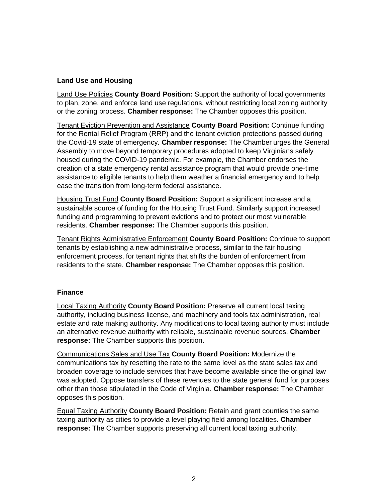### **Land Use and Housing**

Land Use Policies **County Board Position:** Support the authority of local governments to plan, zone, and enforce land use regulations, without restricting local zoning authority or the zoning process. **Chamber response:** The Chamber opposes this position.

Tenant Eviction Prevention and Assistance **County Board Position:** Continue funding for the Rental Relief Program (RRP) and the tenant eviction protections passed during the Covid-19 state of emergency. **Chamber response:** The Chamber urges the General Assembly to move beyond temporary procedures adopted to keep Virginians safely housed during the COVID-19 pandemic. For example, the Chamber endorses the creation of a state emergency rental assistance program that would provide one-time assistance to eligible tenants to help them weather a financial emergency and to help ease the transition from long-term federal assistance.

Housing Trust Fund **County Board Position:** Support a significant increase and a sustainable source of funding for the Housing Trust Fund. Similarly support increased funding and programming to prevent evictions and to protect our most vulnerable residents. **Chamber response:** The Chamber supports this position.

Tenant Rights Administrative Enforcement **County Board Position:** Continue to support tenants by establishing a new administrative process, similar to the fair housing enforcement process, for tenant rights that shifts the burden of enforcement from residents to the state. **Chamber response:** The Chamber opposes this position.

### **Finance**

Local Taxing Authority **County Board Position:** Preserve all current local taxing authority, including business license, and machinery and tools tax administration, real estate and rate making authority. Any modifications to local taxing authority must include an alternative revenue authority with reliable, sustainable revenue sources. **Chamber response:** The Chamber supports this position.

Communications Sales and Use Tax **County Board Position:** Modernize the communications tax by resetting the rate to the same level as the state sales tax and broaden coverage to include services that have become available since the original law was adopted. Oppose transfers of these revenues to the state general fund for purposes other than those stipulated in the Code of Virginia. **Chamber response:** The Chamber opposes this position.

Equal Taxing Authority **County Board Position:** Retain and grant counties the same taxing authority as cities to provide a level playing field among localities. **Chamber response:** The Chamber supports preserving all current local taxing authority.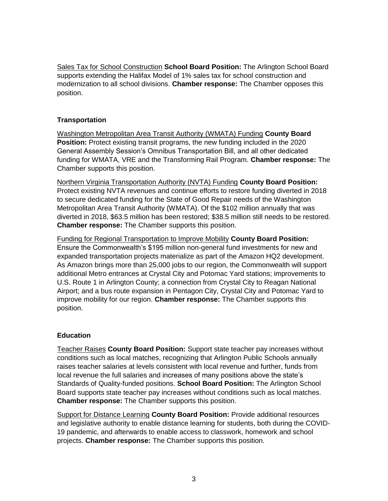Sales Tax for School Construction **School Board Position:** The Arlington School Board supports extending the Halifax Model of 1% sales tax for school construction and modernization to all school divisions. **Chamber response:** The Chamber opposes this position.

## **Transportation**

Washington Metropolitan Area Transit Authority (WMATA) Funding **County Board Position:** Protect existing transit programs, the new funding included in the 2020 General Assembly Session's Omnibus Transportation Bill, and all other dedicated funding for WMATA, VRE and the Transforming Rail Program. **Chamber response:** The Chamber supports this position.

Northern Virginia Transportation Authority (NVTA) Funding **County Board Position:** Protect existing NVTA revenues and continue efforts to restore funding diverted in 2018 to secure dedicated funding for the State of Good Repair needs of the Washington Metropolitan Area Transit Authority (WMATA). Of the \$102 million annually that was diverted in 2018, \$63.5 million has been restored; \$38.5 million still needs to be restored. **Chamber response:** The Chamber supports this position.

Funding for Regional Transportation to Improve Mobility **County Board Position:** Ensure the Commonwealth's \$195 million non-general fund investments for new and expanded transportation projects materialize as part of the Amazon HQ2 development. As Amazon brings more than 25,000 jobs to our region, the Commonwealth will support additional Metro entrances at Crystal City and Potomac Yard stations; improvements to U.S. Route 1 in Arlington County; a connection from Crystal City to Reagan National Airport; and a bus route expansion in Pentagon City, Crystal City and Potomac Yard to improve mobility for our region. **Chamber response:** The Chamber supports this position.

# **Education**

Teacher Raises **County Board Position:** Support state teacher pay increases without conditions such as local matches, recognizing that Arlington Public Schools annually raises teacher salaries at levels consistent with local revenue and further, funds from local revenue the full salaries and increases of many positions above the state's Standards of Quality-funded positions. **School Board Position:** The Arlington School Board supports state teacher pay increases without conditions such as local matches. **Chamber response:** The Chamber supports this position.

Support for Distance Learning **County Board Position:** Provide additional resources and legislative authority to enable distance learning for students, both during the COVID-19 pandemic, and afterwards to enable access to classwork, homework and school projects. **Chamber response:** The Chamber supports this position.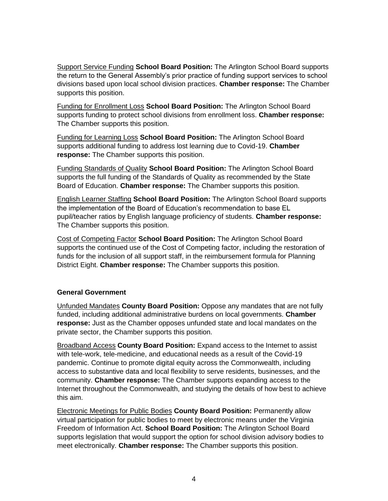Support Service Funding **School Board Position:** The Arlington School Board supports the return to the General Assembly's prior practice of funding support services to school divisions based upon local school division practices. **Chamber response:** The Chamber supports this position.

Funding for Enrollment Loss **School Board Position:** The Arlington School Board supports funding to protect school divisions from enrollment loss. **Chamber response:** The Chamber supports this position.

Funding for Learning Loss **School Board Position:** The Arlington School Board supports additional funding to address lost learning due to Covid-19. **Chamber response:** The Chamber supports this position.

Funding Standards of Quality **School Board Position:** The Arlington School Board supports the full funding of the Standards of Quality as recommended by the State Board of Education. **Chamber response:** The Chamber supports this position.

English Learner Staffing **School Board Position:** The Arlington School Board supports the implementation of the Board of Education's recommendation to base EL pupil/teacher ratios by English language proficiency of students. **Chamber response:** The Chamber supports this position.

Cost of Competing Factor **School Board Position:** The Arlington School Board supports the continued use of the Cost of Competing factor, including the restoration of funds for the inclusion of all support staff, in the reimbursement formula for Planning District Eight. **Chamber response:** The Chamber supports this position.

### **General Government**

Unfunded Mandates **County Board Position:** Oppose any mandates that are not fully funded, including additional administrative burdens on local governments. **Chamber response:** Just as the Chamber opposes unfunded state and local mandates on the private sector, the Chamber supports this position.

Broadband Access **County Board Position:** Expand access to the Internet to assist with tele-work, tele-medicine, and educational needs as a result of the Covid-19 pandemic. Continue to promote digital equity across the Commonwealth, including access to substantive data and local flexibility to serve residents, businesses, and the community. **Chamber response:** The Chamber supports expanding access to the Internet throughout the Commonwealth, and studying the details of how best to achieve this aim.

Electronic Meetings for Public Bodies **County Board Position:** Permanently allow virtual participation for public bodies to meet by electronic means under the Virginia Freedom of Information Act. **School Board Position:** The Arlington School Board supports legislation that would support the option for school division advisory bodies to meet electronically. **Chamber response:** The Chamber supports this position.